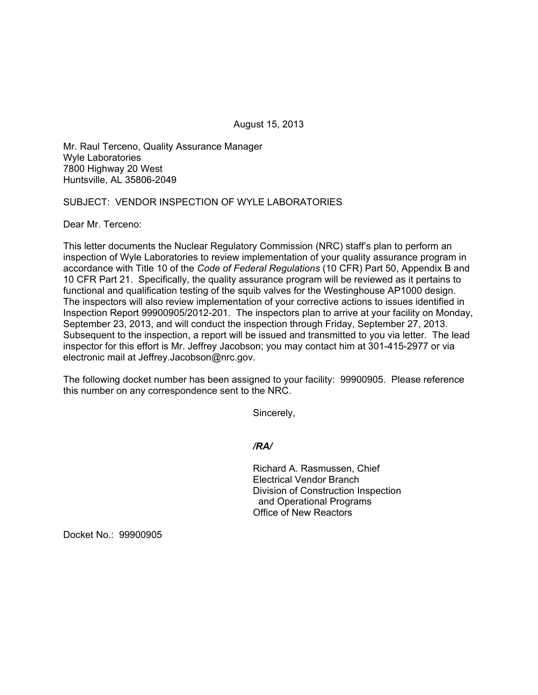August 15, 2013

Mr. Raul Terceno, Quality Assurance Manager Wyle Laboratories 7800 Highway 20 West Huntsville, AL 35806-2049

## SUBJECT: VENDOR INSPECTION OF WYLE LABORATORIES

Dear Mr. Terceno:

This letter documents the Nuclear Regulatory Commission (NRC) staff's plan to perform an inspection of Wyle Laboratories to review implementation of your quality assurance program in accordance with Title 10 of the *Code of Federal Regulations* (10 CFR) Part 50, Appendix B and 10 CFR Part 21. Specifically, the quality assurance program will be reviewed as it pertains to functional and qualification testing of the squib valves for the Westinghouse AP1000 design. The inspectors will also review implementation of your corrective actions to issues identified in Inspection Report 99900905/2012-201. The inspectors plan to arrive at your facility on Monday, September 23, 2013, and will conduct the inspection through Friday, September 27, 2013. Subsequent to the inspection, a report will be issued and transmitted to you via letter. The lead inspector for this effort is Mr. Jeffrey Jacobson; you may contact him at 301-415-2977 or via electronic mail at Jeffrey.Jacobson@nrc.gov.

The following docket number has been assigned to your facility: 99900905. Please reference this number on any correspondence sent to the NRC.

Sincerely,

*/RA/* 

Richard A. Rasmussen, Chief Electrical Vendor Branch Division of Construction Inspection and Operational Programs Office of New Reactors

Docket No.: 99900905